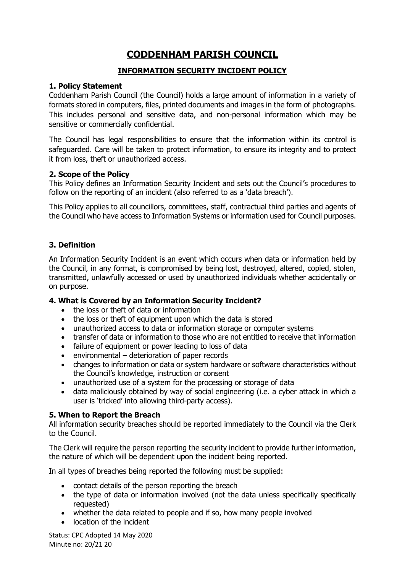# **CODDENHAM PARISH COUNCIL**

## **INFORMATION SECURITY INCIDENT POLICY**

### **1. Policy Statement**

Coddenham Parish Council (the Council) holds a large amount of information in a variety of formats stored in computers, files, printed documents and images in the form of photographs. This includes personal and sensitive data, and non-personal information which may be sensitive or commercially confidential.

The Council has legal responsibilities to ensure that the information within its control is safeguarded. Care will be taken to protect information, to ensure its integrity and to protect it from loss, theft or unauthorized access.

### **2. Scope of the Policy**

This Policy defines an Information Security Incident and sets out the Council's procedures to follow on the reporting of an incident (also referred to as a 'data breach').

This Policy applies to all councillors, committees, staff, contractual third parties and agents of the Council who have access to Information Systems or information used for Council purposes.

## **3. Definition**

An Information Security Incident is an event which occurs when data or information held by the Council, in any format, is compromised by being lost, destroyed, altered, copied, stolen, transmitted, unlawfully accessed or used by unauthorized individuals whether accidentally or on purpose.

### **4. What is Covered by an Information Security Incident?**

- the loss or theft of data or information
- the loss or theft of equipment upon which the data is stored
- unauthorized access to data or information storage or computer systems
- transfer of data or information to those who are not entitled to receive that information
- failure of equipment or power leading to loss of data
- environmental deterioration of paper records
- changes to information or data or system hardware or software characteristics without the Council's knowledge, instruction or consent
- unauthorized use of a system for the processing or storage of data
- data maliciously obtained by way of social engineering (i.e. a cyber attack in which a user is 'tricked' into allowing third-party access).

### **5. When to Report the Breach**

All information security breaches should be reported immediately to the Council via the Clerk to the Council.

The Clerk will require the person reporting the security incident to provide further information, the nature of which will be dependent upon the incident being reported.

In all types of breaches being reported the following must be supplied:

- contact details of the person reporting the breach
- the type of data or information involved (not the data unless specifically specifically requested)
- whether the data related to people and if so, how many people involved
- location of the incident

Status: CPC Adopted 14 May 2020 Minute no: 20/21 20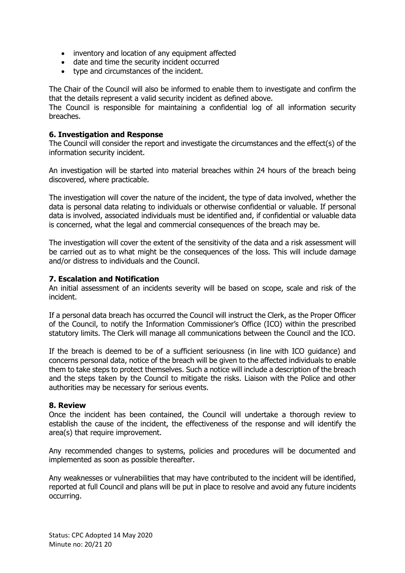- inventory and location of any equipment affected
- date and time the security incident occurred
- type and circumstances of the incident.

The Chair of the Council will also be informed to enable them to investigate and confirm the that the details represent a valid security incident as defined above.

The Council is responsible for maintaining a confidential log of all information security breaches.

#### **6. Investigation and Response**

The Council will consider the report and investigate the circumstances and the effect(s) of the information security incident.

An investigation will be started into material breaches within 24 hours of the breach being discovered, where practicable.

The investigation will cover the nature of the incident, the type of data involved, whether the data is personal data relating to individuals or otherwise confidential or valuable. If personal data is involved, associated individuals must be identified and, if confidential or valuable data is concerned, what the legal and commercial consequences of the breach may be.

The investigation will cover the extent of the sensitivity of the data and a risk assessment will be carried out as to what might be the consequences of the loss. This will include damage and/or distress to individuals and the Council.

#### **7. Escalation and Notification**

An initial assessment of an incidents severity will be based on scope, scale and risk of the incident.

If a personal data breach has occurred the Council will instruct the Clerk, as the Proper Officer of the Council, to notify the Information Commissioner's Office (ICO) within the prescribed statutory limits. The Clerk will manage all communications between the Council and the ICO.

If the breach is deemed to be of a sufficient seriousness (in line with ICO guidance) and concerns personal data, notice of the breach will be given to the affected individuals to enable them to take steps to protect themselves. Such a notice will include a description of the breach and the steps taken by the Council to mitigate the risks. Liaison with the Police and other authorities may be necessary for serious events.

#### **8. Review**

Once the incident has been contained, the Council will undertake a thorough review to establish the cause of the incident, the effectiveness of the response and will identify the area(s) that require improvement.

Any recommended changes to systems, policies and procedures will be documented and implemented as soon as possible thereafter.

Any weaknesses or vulnerabilities that may have contributed to the incident will be identified, reported at full Council and plans will be put in place to resolve and avoid any future incidents occurring.